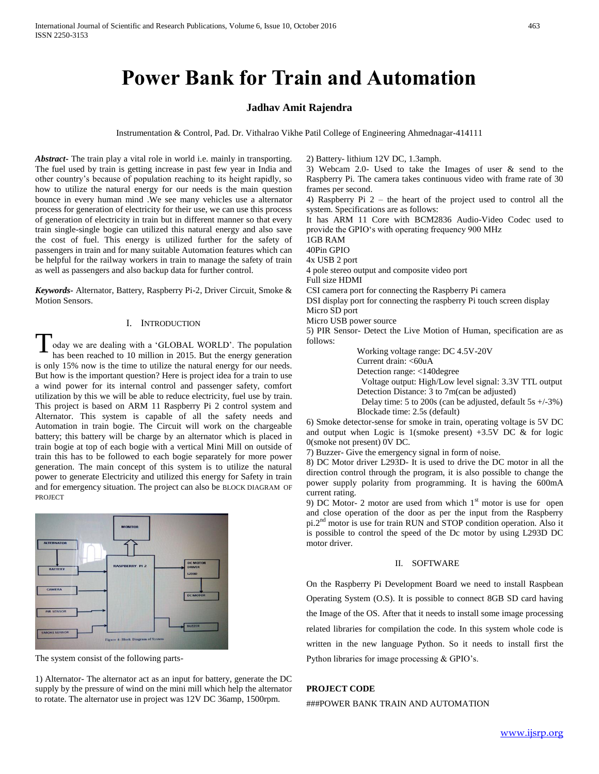# **Power Bank for Train and Automation**

# **Jadhav Amit Rajendra**

Instrumentation & Control, Pad. Dr. Vithalrao Vikhe Patil College of Engineering Ahmednagar-414111

*Abstract***-** The train play a vital role in world i.e. mainly in transporting. The fuel used by train is getting increase in past few year in India and other country's because of population reaching to its height rapidly, so how to utilize the natural energy for our needs is the main question bounce in every human mind .We see many vehicles use a alternator process for generation of electricity for their use, we can use this process of generation of electricity in train but in different manner so that every train single-single bogie can utilized this natural energy and also save the cost of fuel. This energy is utilized further for the safety of passengers in train and for many suitable Automation features which can be helpful for the railway workers in train to manage the safety of train as well as passengers and also backup data for further control.

*Keywords-* Alternator, Battery, Raspberry Pi-2, Driver Circuit, Smoke & Motion Sensors.

# I. INTRODUCTION

oday we are dealing with a 'GLOBAL WORLD'. The population has been reached to 10 million in 2015. But the energy generation is only 15% now is the time to utilize the natural energy for our needs. But how is the important question? Here is project idea for a train to use a wind power for its internal control and passenger safety, comfort utilization by this we will be able to reduce electricity, fuel use by train. This project is based on ARM 11 Raspberry Pi 2 control system and Alternator. This system is capable of all the safety needs and Automation in train bogie. The Circuit will work on the chargeable battery; this battery will be charge by an alternator which is placed in train bogie at top of each bogie with a vertical Mini Mill on outside of train this has to be followed to each bogie separately for more power generation. The main concept of this system is to utilize the natural power to generate Electricity and utilized this energy for Safety in train and for emergency situation. The project can also be BLOCK DIAGRAM OF PROJECT T



The system consist of the following parts-

1) Alternator- The alternator act as an input for battery, generate the DC supply by the pressure of wind on the mini mill which help the alternator to rotate. The alternator use in project was 12V DC 36amp, 1500rpm.

3) Webcam 2.0- Used to take the Images of user & send to the Raspberry Pi. The camera takes continuous video with frame rate of 30 frames per second. 4) Raspberry Pi 2 – the heart of the project used to control all the system. Specifications are as follows: It has ARM 11 Core with BCM2836 Audio-Video Codec used to provide the GPIO's with operating frequency 900 MHz 1GB RAM 40Pin GPIO 4x USB 2 port 4 pole stereo output and composite video port Full size HDMI CSI camera port for connecting the Raspberry Pi camera DSI display port for connecting the raspberry Pi touch screen display Micro SD port

Micro USB power source

2) Battery- lithium 12V DC, 1.3amph.

5) PIR Sensor- Detect the Live Motion of Human, specification are as follows:

Working voltage range: DC 4.5V-20V

Current drain: <60uA

Detection range: <140degree

 Voltage output: High/Low level signal: 3.3V TTL output Detection Distance: 3 to 7m(can be adjusted)

 Delay time: 5 to 200s (can be adjusted, default 5s +/-3%) Blockade time: 2.5s (default)

6) Smoke detector-sense for smoke in train, operating voltage is 5V DC and output when Logic is 1(smoke present) +3.5V DC & for logic 0(smoke not present) 0V DC.

7) Buzzer- Give the emergency signal in form of noise.

8) DC Motor driver L293D- It is used to drive the DC motor in all the direction control through the program, it is also possible to change the power supply polarity from programming. It is having the 600mA current rating.

9) DC Motor- 2 motor are used from which  $1<sup>st</sup>$  motor is use for open and close operation of the door as per the input from the Raspberry pi.2nd motor is use for train RUN and STOP condition operation. Also it is possible to control the speed of the Dc motor by using L293D DC motor driver.

# II. SOFTWARE

On the Raspberry Pi Development Board we need to install Raspbean Operating System (O.S). It is possible to connect 8GB SD card having the Image of the OS. After that it needs to install some image processing related libraries for compilation the code. In this system whole code is written in the new language Python. So it needs to install first the Python libraries for image processing & GPIO's.

# **PROJECT CODE**

###POWER BANK TRAIN AND AUTOMATION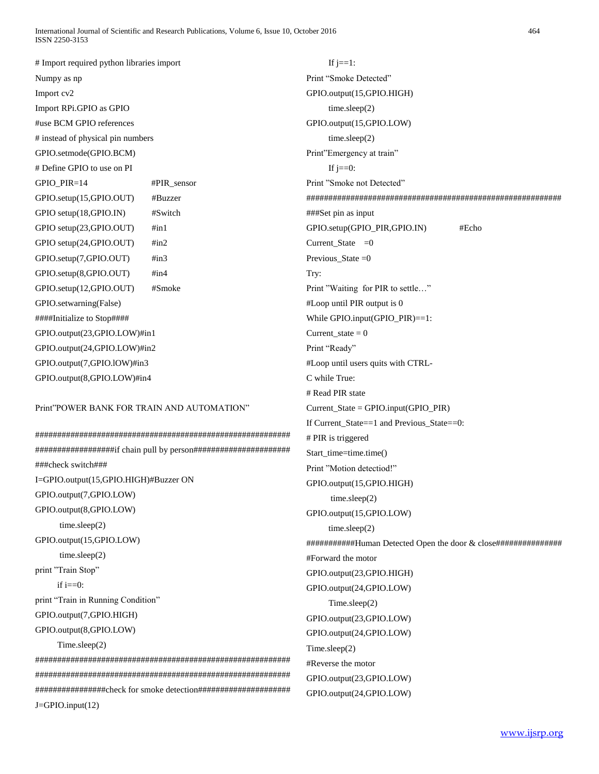International Journal of Scientific and Research Publications, Volume 6, Issue 10, October 2016 464 ISSN 2250-3153

# Import required python libraries import Numpy as np Import cv2 Import RPi.GPIO as GPIO #use BCM GPIO references # instead of physical pin numbers GPIO.setmode(GPIO.BCM) # Define GPIO to use on PI GPIO\_PIR=14 #PIR\_sensor GPIO.setup(15,GPIO.OUT) #Buzzer GPIO setup(18,GPIO.IN) #Switch GPIO setup(23,GPIO.OUT) #in1 GPIO setup(24,GPIO.OUT) #in2 GPIO.setup(7,GPIO.OUT) #in3 GPIO.setup(8,GPIO.OUT) #in4 GPIO.setup(12,GPIO.OUT) #Smoke GPIO.setwarning(False) ####Initialize to Stop#### GPIO.output(23,GPIO.LOW)#in1 GPIO.output(24,GPIO.LOW)#in2 GPIO.output(7,GPIO.lOW)#in3 GPIO.output(8,GPIO.LOW)#in4

# Print"POWER BANK FOR TRAIN AND AUTOMATION"

########################################################## ##################if chain pull by person###################### ###check switch### I=GPIO.output(15,GPIO.HIGH)#Buzzer ON GPIO.output(7,GPIO.LOW) GPIO.output(8,GPIO.LOW) time.sleep(2) GPIO.output(15,GPIO.LOW) time.sleep(2) print "Train Stop" if  $i=0$ : print "Train in Running Condition" GPIO.output(7,GPIO.HIGH) GPIO.output(8,GPIO.LOW) Time.sleep(2) ########################################################## ##########################################################

################check for smoke detection#####################

J=GPIO.input(12)

# If  $j == 1$ :

Print "Smoke Detected" GPIO.output(15,GPIO.HIGH) time.sleep(2) GPIO.output(15,GPIO.LOW) time.sleep(2) Print"Emergency at train" If  $j == 0$ : Print "Smoke not Detected" ########################################################## ###Set pin as input GPIO.setup(GPIO\_PIR,GPIO.IN) #Echo Current\_State  $=0$ Previous\_State  $=0$ Try: Print "Waiting for PIR to settle…" #Loop until PIR output is 0 While GPIO.input(GPIO\_PIR)==1:  $Current\_state = 0$ Print "Ready" #Loop until users quits with CTRL-C while True: # Read PIR state Current\_State = GPIO.input(GPIO\_PIR) If Current State==1 and Previous State==0: # PIR is triggered Start\_time=time.time() Print "Motion detectiod!" GPIO.output(15,GPIO.HIGH) time.sleep(2) GPIO.output(15,GPIO.LOW) time.sleep(2) ###########Human Detected Open the door & close############### #Forward the motor GPIO.output(23,GPIO.HIGH) GPIO.output(24,GPIO.LOW) Time.sleep(2) GPIO.output(23,GPIO.LOW) GPIO.output(24,GPIO.LOW) Time.sleep(2) #Reverse the motor GPIO.output(23,GPIO.LOW) GPIO.output(24,GPIO.LOW)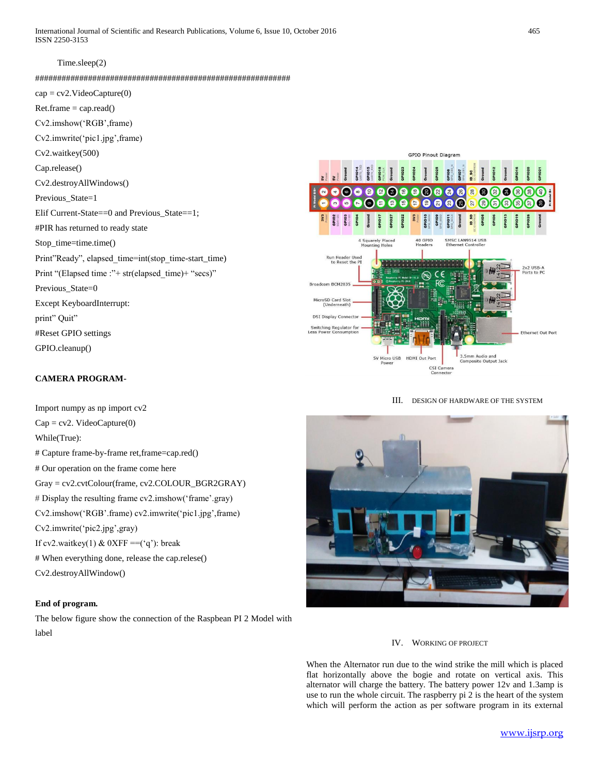International Journal of Scientific and Research Publications, Volume 6, Issue 10, October 2016 465 ISSN 2250-3153

### Time.sleep(2)

##########################################################

 $cap = cv2$ . VideoCapture(0) Ret.frame = cap.read() Cv2.imshow('RGB',frame) Cv2.imwrite('pic1.jpg',frame) Cv2.waitkey(500) Cap.release() Cv2.destroyAllWindows() Previous State=1 Elif Current-State==0 and Previous\_State==1; #PIR has returned to ready state Stop\_time=time.time() Print"Ready", elapsed\_time=int(stop\_time-start\_time) Print "(Elapsed time :"+ str(elapsed\_time)+ "secs)" Previous\_State=0 Except KeyboardInterrupt: print" Quit" #Reset GPIO settings GPIO.cleanup()

#### **GPIO Pinout Diagran** 6 a 28 G  $\bullet$  $\epsilon$  $\overline{2}$ €  $\mathbf{e}$  $\frac{1}{2}$ Q  $\Omega$ 8 8 8 6  $\overline{27}$  $\circ$ ISC LAN9514 USB Run Header Use<br>to Reset the 2x2 USB-A<br>Ports to PC Broadcom BCM2835 MicroSD Card Slot<br>(Underneath) **DSI Display Conn** Switching Regulator for<br>Less Power Consumption Ethernet Out Port mm Audio and<br>nposite Output **SV Micro USB** HDMI Out P CSI<sub>C</sub>  $\mathbf{C}$ necto

**CAMERA PROGRAM-**

Import numpy as np import cv2  $Cap = cv2$ . VideoCapture(0) While(True): # Capture frame-by-frame ret,frame=cap.red() # Our operation on the frame come here Gray = cv2.cvtColour(frame, cv2.COLOUR\_BGR2GRAY) # Display the resulting frame cv2.imshow('frame'.gray) Cv2.imshow('RGB'.frame) cv2.imwrite('pic1.jpg',frame) Cv2.imwrite('pic2.jpg',gray) If cv2.waitkey(1) &  $0$ XFF ==('q'): break # When everything done, release the cap.relese() Cv2.destroyAllWindow()

# **End of program.**

The below figure show the connection of the Raspbean PI 2 Model with label

### III. DESIGN OF HARDWARE OF THE SYSTEM



### IV. WORKING OF PROJECT

When the Alternator run due to the wind strike the mill which is placed flat horizontally above the bogie and rotate on vertical axis. This alternator will charge the battery. The battery power 12v and 1.3amp is use to run the whole circuit. The raspberry pi 2 is the heart of the system which will perform the action as per software program in its external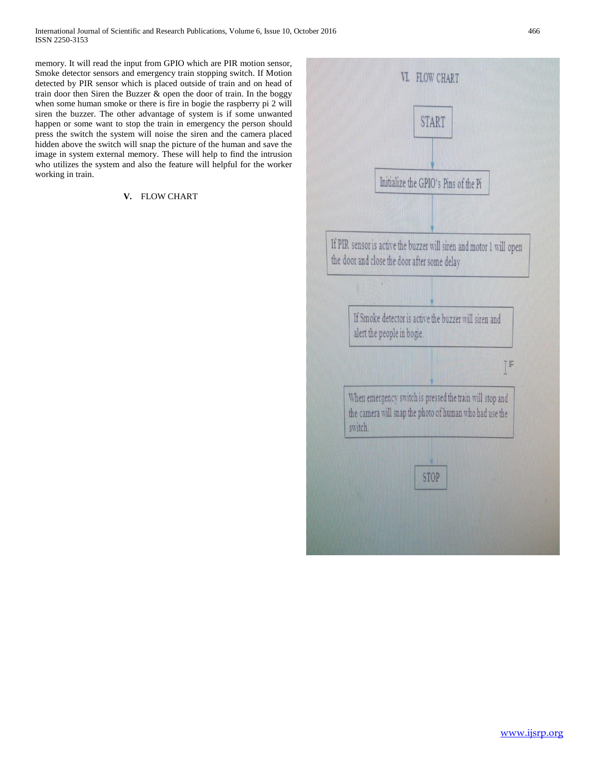memory. It will read the input from GPIO which are PIR motion sensor, Smoke detector sensors and emergency train stopping switch. If Motion detected by PIR sensor which is placed outside of train and on head of train door then Siren the Buzzer & open the door of train. In the boggy when some human smoke or there is fire in bogie the raspberry pi 2 will siren the buzzer. The other advantage of system is if some unwanted happen or some want to stop the train in emergency the person should press the switch the system will noise the siren and the camera placed hidden above the switch will snap the picture of the human and save the image in system external memory. These will help to find the intrusion who utilizes the system and also the feature will helpful for the worker working in train.

# **V.** FLOW CHART